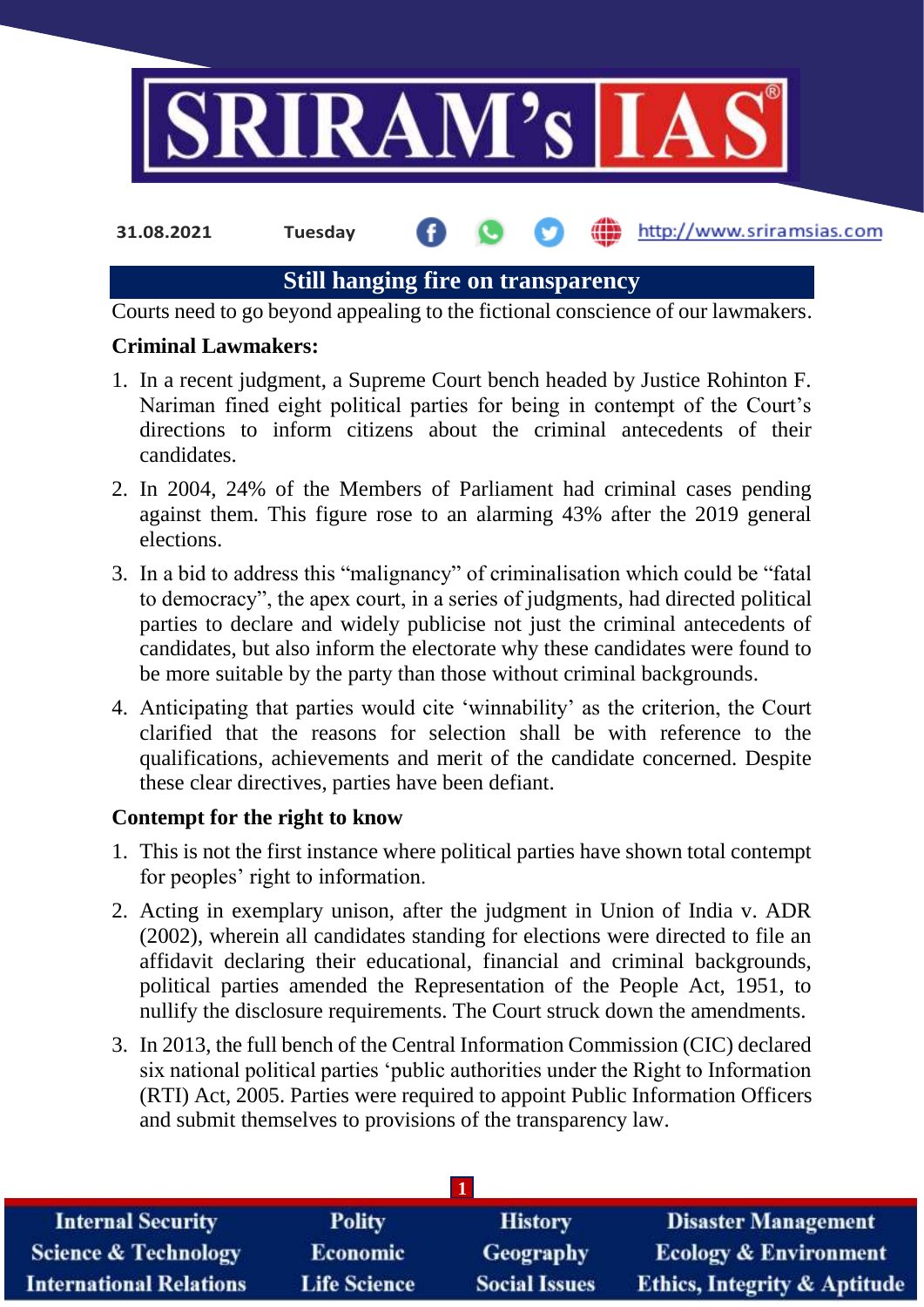

**31.08.2021 Tuesday**

http://www.sriramsias.com

# **Still hanging fire on transparency**

Courts need to go beyond appealing to the fictional conscience of our lawmakers.

# **Criminal Lawmakers:**

- 1. In a recent judgment, a Supreme Court bench headed by Justice Rohinton F. Nariman fined eight political parties for being in contempt of the Court's directions to inform citizens about the criminal antecedents of their candidates.
- 2. In 2004, 24% of the Members of Parliament had criminal cases pending against them. This figure rose to an alarming 43% after the 2019 general elections.
- 3. In a bid to address this "malignancy" of criminalisation which could be "fatal to democracy", the apex court, in a series of judgments, had directed political parties to declare and widely publicise not just the criminal antecedents of candidates, but also inform the electorate why these candidates were found to be more suitable by the party than those without criminal backgrounds.
- 4. Anticipating that parties would cite 'winnability' as the criterion, the Court clarified that the reasons for selection shall be with reference to the qualifications, achievements and merit of the candidate concerned. Despite these clear directives, parties have been defiant.

# **Contempt for the right to know**

- 1. This is not the first instance where political parties have shown total contempt for peoples' right to information.
- 2. Acting in exemplary unison, after the judgment in Union of India v. ADR (2002), wherein all candidates standing for elections were directed to file an affidavit declaring their educational, financial and criminal backgrounds, political parties amended the Representation of the People Act, 1951, to nullify the disclosure requirements. The Court struck down the amendments.
- 3. In 2013, the full bench of the Central Information Commission (CIC) declared six national political parties 'public authorities under the Right to Information (RTI) Act, 2005. Parties were required to appoint Public Information Officers and submit themselves to provisions of the transparency law.

| <b>Internal Security</b>        | <b>Polity</b>       | <b>History</b>       | <b>Disaster Management</b>              |
|---------------------------------|---------------------|----------------------|-----------------------------------------|
| <b>Science &amp; Technology</b> | <b>Economic</b>     | <b>Geography</b>     | <b>Ecology &amp; Environment</b>        |
| <b>International Relations</b>  | <b>Life Science</b> | <b>Social Issues</b> | <b>Ethics, Integrity &amp; Aptitude</b> |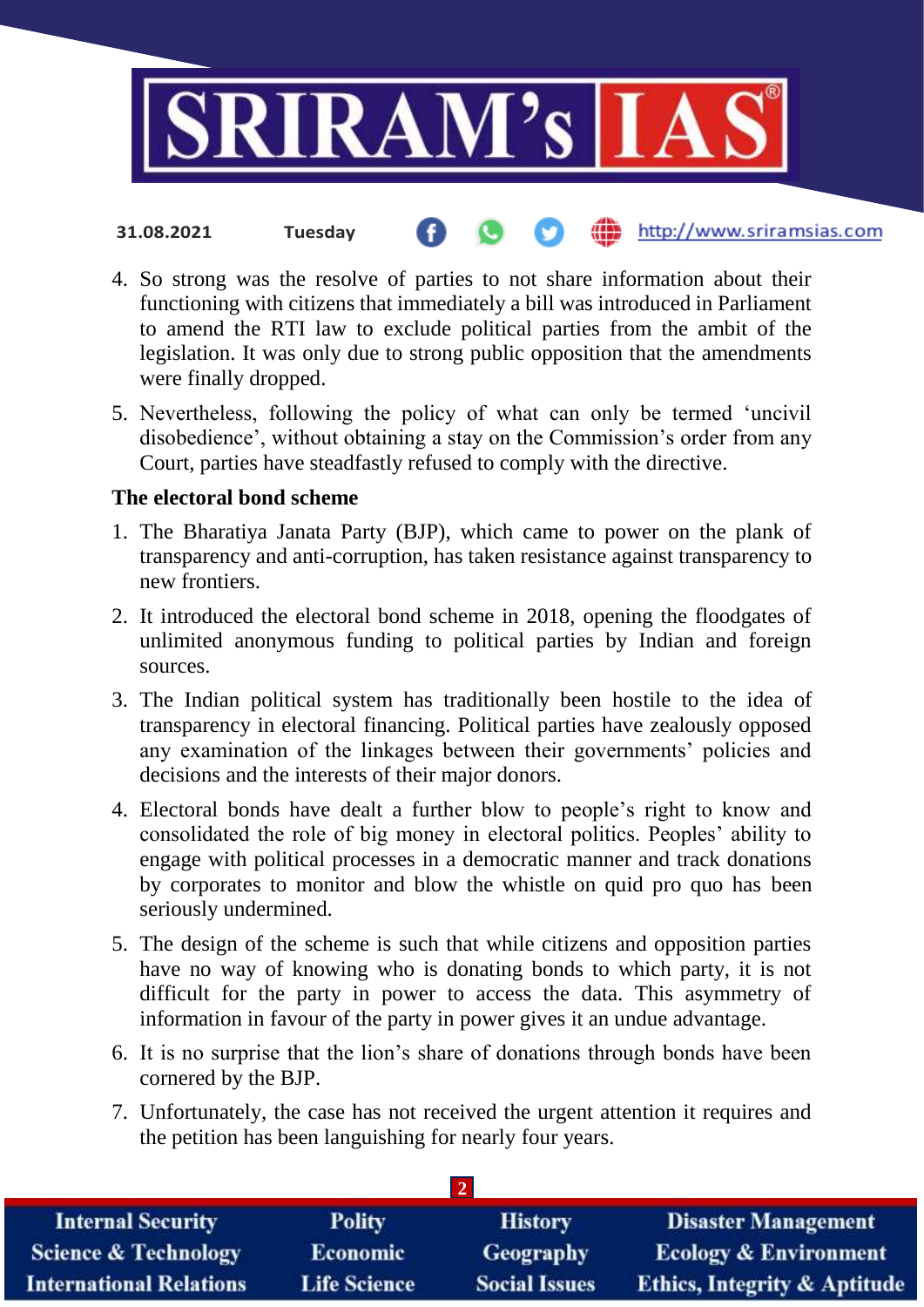

- http://www.sriramsias.com **31.08.2021 Tuesday**
- 4. So strong was the resolve of parties to not share information about their functioning with citizens that immediately a bill was introduced in Parliament to amend the RTI law to exclude political parties from the ambit of the legislation. It was only due to strong public opposition that the amendments were finally dropped.
- 5. Nevertheless, following the policy of what can only be termed 'uncivil disobedience', without obtaining a stay on the Commission's order from any Court, parties have steadfastly refused to comply with the directive.

## **The electoral bond scheme**

- 1. The Bharatiya Janata Party (BJP), which came to power on the plank of transparency and anti-corruption, has taken resistance against transparency to new frontiers.
- 2. It introduced the electoral bond scheme in 2018, opening the floodgates of unlimited anonymous funding to political parties by Indian and foreign sources.
- 3. The Indian political system has traditionally been hostile to the idea of transparency in electoral financing. Political parties have zealously opposed any examination of the linkages between their governments' policies and decisions and the interests of their major donors.
- 4. Electoral bonds have dealt a further blow to people's right to know and consolidated the role of big money in electoral politics. Peoples' ability to engage with political processes in a democratic manner and track donations by corporates to monitor and blow the whistle on quid pro quo has been seriously undermined.
- 5. The design of the scheme is such that while citizens and opposition parties have no way of knowing who is donating bonds to which party, it is not difficult for the party in power to access the data. This asymmetry of information in favour of the party in power gives it an undue advantage.
- 6. It is no surprise that the lion's share of donations through bonds have been cornered by the BJP.
- 7. Unfortunately, the case has not received the urgent attention it requires and the petition has been languishing for nearly four years.

| <b>Internal Security</b>        | <b>Polity</b>       | <b>History</b>       | <b>Disaster Management</b>              |
|---------------------------------|---------------------|----------------------|-----------------------------------------|
| <b>Science &amp; Technology</b> | <b>Economic</b>     | <b>Geography</b>     | <b>Ecology &amp; Environment</b>        |
| <b>International Relations</b>  | <b>Life Science</b> | <b>Social Issues</b> | <b>Ethics, Integrity &amp; Aptitude</b> |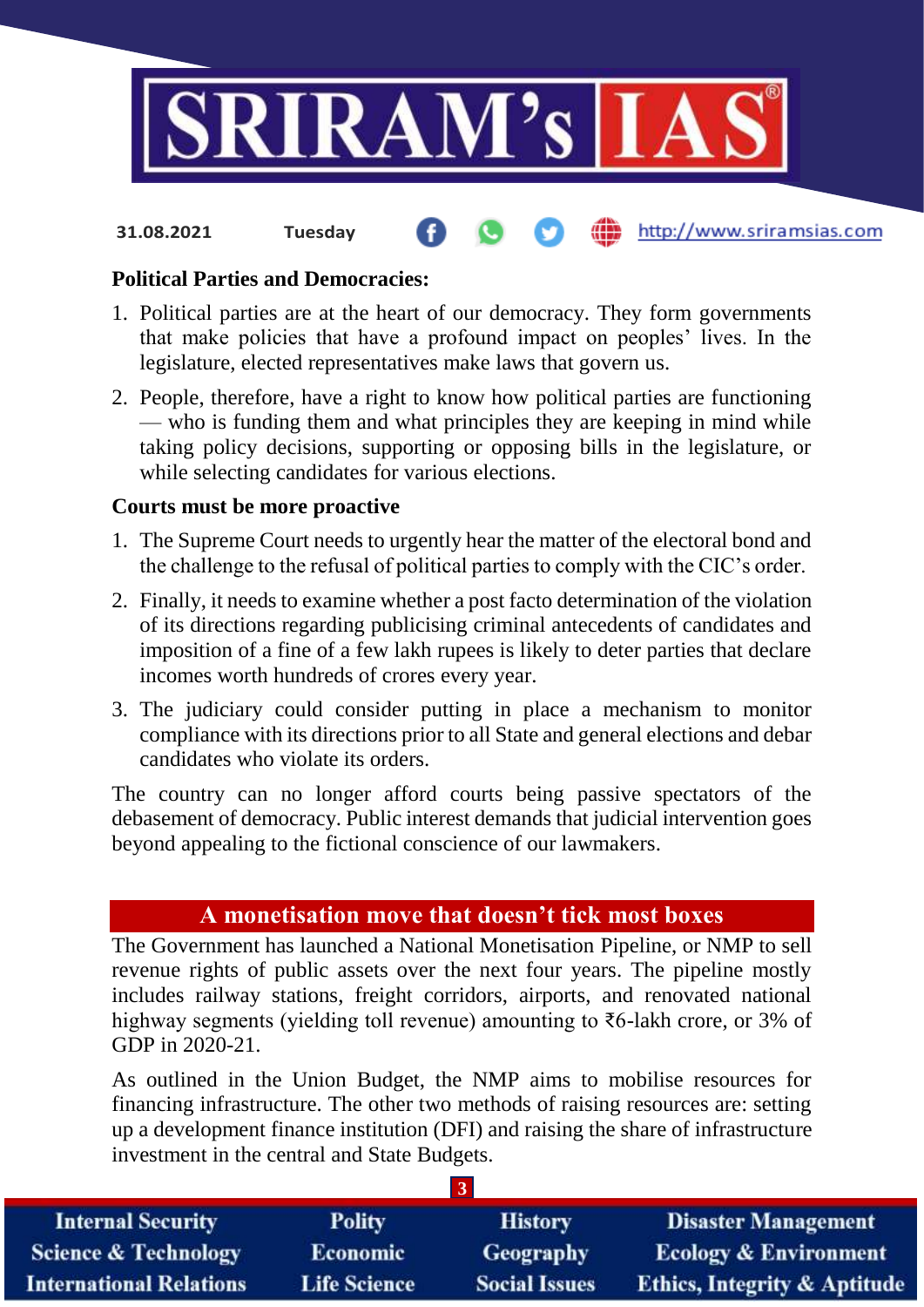

http://www.sriramsias.com

#### **Political Parties and Democracies:**

**31.08.2021 Tuesday**

- 1. Political parties are at the heart of our democracy. They form governments that make policies that have a profound impact on peoples' lives. In the legislature, elected representatives make laws that govern us.
- 2. People, therefore, have a right to know how political parties are functioning — who is funding them and what principles they are keeping in mind while taking policy decisions, supporting or opposing bills in the legislature, or while selecting candidates for various elections.

#### **Courts must be more proactive**

- 1. The Supreme Court needs to urgently hear the matter of the electoral bond and the challenge to the refusal of political parties to comply with the CIC's order.
- 2. Finally, it needs to examine whether a post facto determination of the violation of its directions regarding publicising criminal antecedents of candidates and imposition of a fine of a few lakh rupees is likely to deter parties that declare incomes worth hundreds of crores every year.
- 3. The judiciary could consider putting in place a mechanism to monitor compliance with its directions prior to all State and general elections and debar candidates who violate its orders.

The country can no longer afford courts being passive spectators of the debasement of democracy. Public interest demands that judicial intervention goes beyond appealing to the fictional conscience of our lawmakers.

# **A monetisation move that doesn't tick most boxes**

The Government has launched a National Monetisation Pipeline, or NMP to sell revenue rights of public assets over the next four years. The pipeline mostly includes railway stations, freight corridors, airports, and renovated national highway segments (yielding toll revenue) amounting to ₹6-lakh crore, or 3% of GDP in 2020-21.

As outlined in the Union Budget, the NMP aims to mobilise resources for financing infrastructure. The other two methods of raising resources are: setting up a development finance institution (DFI) and raising the share of infrastructure investment in the central and State Budgets.

| <b>Internal Security</b>        | <b>Polity</b>       | <b>History</b>       | <b>Disaster Management</b>              |
|---------------------------------|---------------------|----------------------|-----------------------------------------|
| <b>Science &amp; Technology</b> | <b>Economic</b>     | Geography            | <b>Ecology &amp; Environment</b>        |
| <b>International Relations</b>  | <b>Life Science</b> | <b>Social Issues</b> | <b>Ethics, Integrity &amp; Aptitude</b> |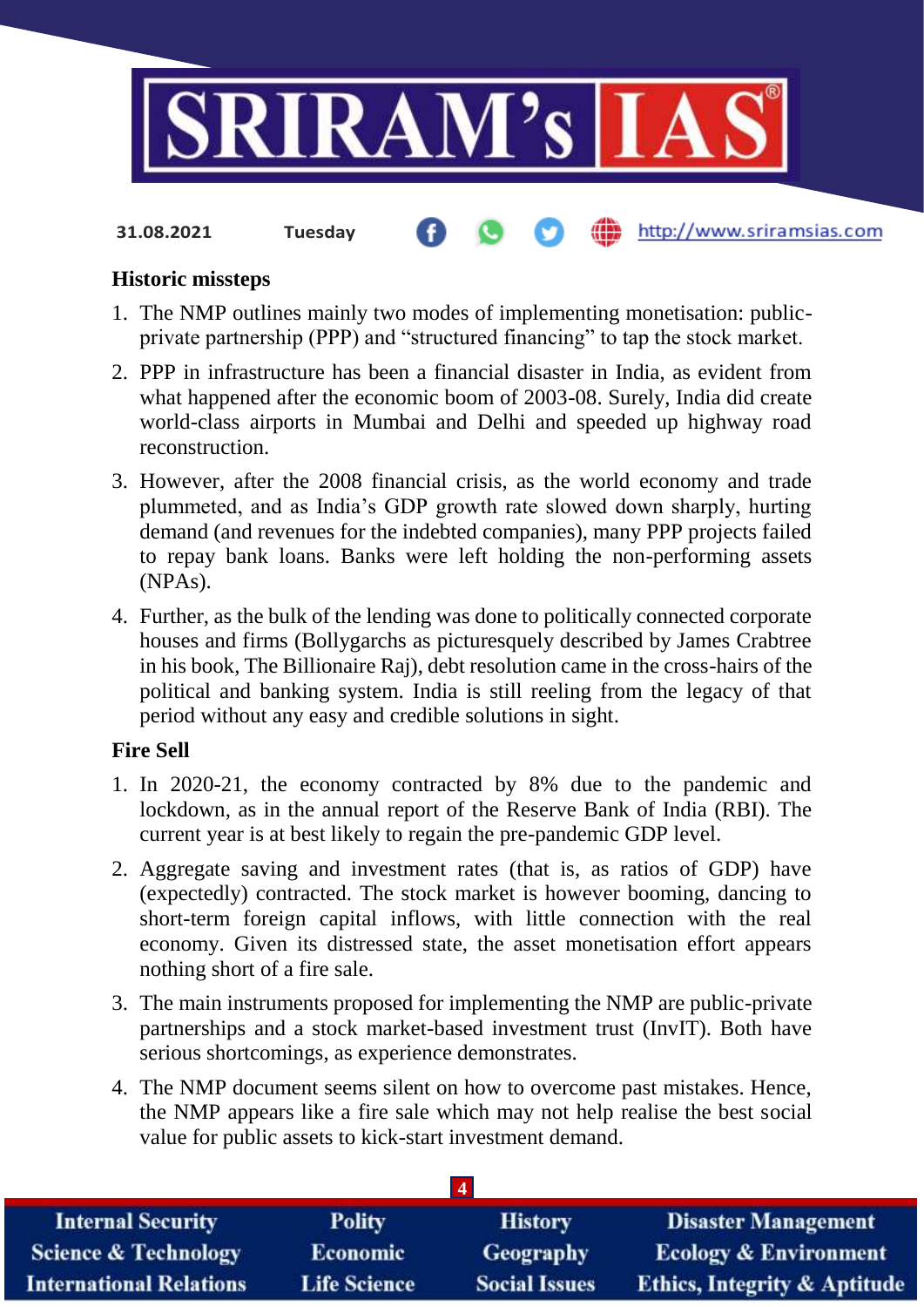

**31.08.2021 Tuesday**

## http://www.sriramsias.com

#### **Historic missteps**

- 1. The NMP outlines mainly two modes of implementing monetisation: publicprivate partnership (PPP) and "structured financing" to tap the stock market.
- 2. PPP in infrastructure has been a financial disaster in India, as evident from what happened after the economic boom of 2003-08. Surely, India did create world-class airports in Mumbai and Delhi and speeded up highway road reconstruction.
- 3. However, after the 2008 financial crisis, as the world economy and trade plummeted, and as India's GDP growth rate slowed down sharply, hurting demand (and revenues for the indebted companies), many PPP projects failed to repay bank loans. Banks were left holding the non-performing assets (NPAs).
- 4. Further, as the bulk of the lending was done to politically connected corporate houses and firms (Bollygarchs as picturesquely described by James Crabtree in his book, The Billionaire Raj), debt resolution came in the cross-hairs of the political and banking system. India is still reeling from the legacy of that period without any easy and credible solutions in sight.

## **Fire Sell**

- 1. In 2020-21, the economy contracted by 8% due to the pandemic and lockdown, as in the annual report of the Reserve Bank of India (RBI). The current year is at best likely to regain the pre-pandemic GDP level.
- 2. Aggregate saving and investment rates (that is, as ratios of GDP) have (expectedly) contracted. The stock market is however booming, dancing to short-term foreign capital inflows, with little connection with the real economy. Given its distressed state, the asset monetisation effort appears nothing short of a fire sale.
- 3. The main instruments proposed for implementing the NMP are public-private partnerships and a stock market-based investment trust (InvIT). Both have serious shortcomings, as experience demonstrates.
- 4. The NMP document seems silent on how to overcome past mistakes. Hence, the NMP appears like a fire sale which may not help realise the best social value for public assets to kick-start investment demand.

| <b>Internal Security</b>        | <b>Polity</b>       | <b>History</b>       | <b>Disaster Management</b>              |
|---------------------------------|---------------------|----------------------|-----------------------------------------|
| <b>Science &amp; Technology</b> | <b>Economic</b>     | <b>Geography</b>     | <b>Ecology &amp; Environment</b>        |
| <b>International Relations</b>  | <b>Life Science</b> | <b>Social Issues</b> | <b>Ethics, Integrity &amp; Aptitude</b> |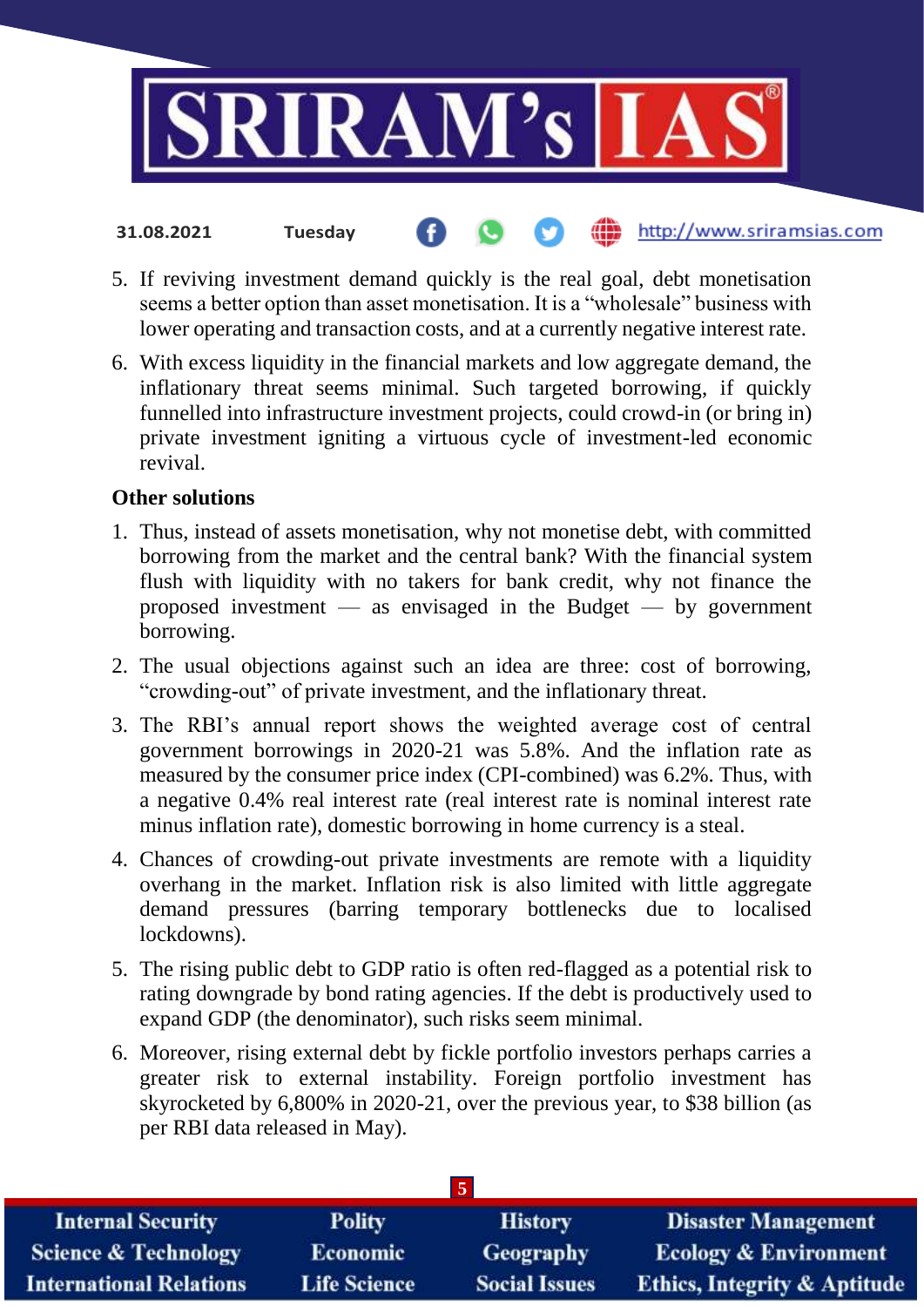

- **31.08.2021 Tuesday**
- 5. If reviving investment demand quickly is the real goal, debt monetisation seems a better option than asset monetisation. It is a "wholesale" business with lower operating and transaction costs, and at a currently negative interest rate.
- 6. With excess liquidity in the financial markets and low aggregate demand, the inflationary threat seems minimal. Such targeted borrowing, if quickly funnelled into infrastructure investment projects, could crowd-in (or bring in) private investment igniting a virtuous cycle of investment-led economic revival.

#### **Other solutions**

- 1. Thus, instead of assets monetisation, why not monetise debt, with committed borrowing from the market and the central bank? With the financial system flush with liquidity with no takers for bank credit, why not finance the proposed investment — as envisaged in the Budget — by government borrowing.
- 2. The usual objections against such an idea are three: cost of borrowing, "crowding-out" of private investment, and the inflationary threat.
- 3. The RBI's annual report shows the weighted average cost of central government borrowings in 2020-21 was 5.8%. And the inflation rate as measured by the consumer price index (CPI-combined) was 6.2%. Thus, with a negative 0.4% real interest rate (real interest rate is nominal interest rate minus inflation rate), domestic borrowing in home currency is a steal.
- 4. Chances of crowding-out private investments are remote with a liquidity overhang in the market. Inflation risk is also limited with little aggregate demand pressures (barring temporary bottlenecks due to localised lockdowns).
- 5. The rising public debt to GDP ratio is often red-flagged as a potential risk to rating downgrade by bond rating agencies. If the debt is productively used to expand GDP (the denominator), such risks seem minimal.
- 6. Moreover, rising external debt by fickle portfolio investors perhaps carries a greater risk to external instability. Foreign portfolio investment has skyrocketed by 6,800% in 2020-21, over the previous year, to \$38 billion (as per RBI data released in May).

| <b>Internal Security</b>        | <b>Polity</b>       | <b>History</b>       | <b>Disaster Management</b>              |
|---------------------------------|---------------------|----------------------|-----------------------------------------|
| <b>Science &amp; Technology</b> | <b>Economic</b>     | Geography            | <b>Ecology &amp; Environment</b>        |
| <b>International Relations</b>  | <b>Life Science</b> | <b>Social Issues</b> | <b>Ethics, Integrity &amp; Aptitude</b> |